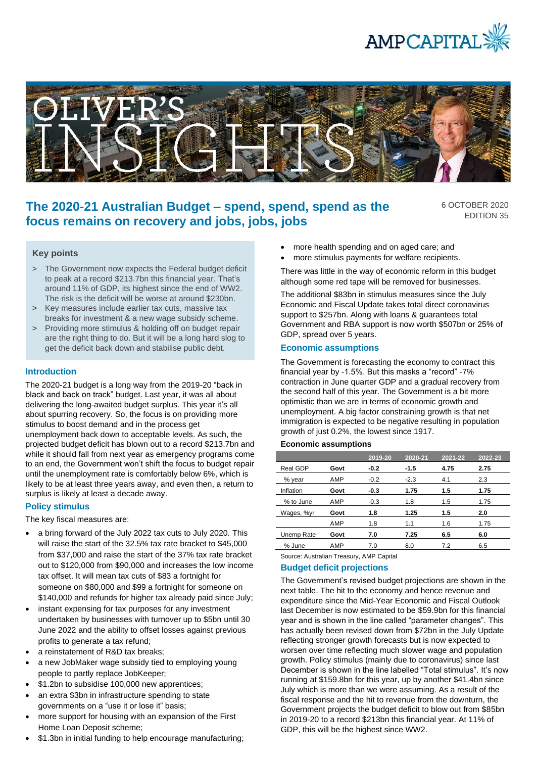



# **The 2020-21 Australian Budget – spend, spend, spend as the focus remains on recovery and jobs, jobs, jobs**

6 OCTOBER 2020 EDITION 35

# **Key points**

- > The Government now expects the Federal budget deficit to peak at a record \$213.7bn this financial year. That's around 11% of GDP, its highest since the end of WW2. The risk is the deficit will be worse at around \$230bn.
- > Key measures include earlier tax cuts, massive tax breaks for investment & a new wage subsidy scheme.
- > Providing more stimulus & holding off on budget repair are the right thing to do. But it will be a long hard slog to get the deficit back down and stabilise public debt.

## **Introduction**

The 2020-21 budget is a long way from the 2019-20 "back in black and back on track" budget. Last year, it was all about delivering the long-awaited budget surplus. This year it's all about spurring recovery. So, the focus is on providing more stimulus to boost demand and in the process get unemployment back down to acceptable levels. As such, the projected budget deficit has blown out to a record \$213.7bn and while it should fall from next year as emergency programs come to an end, the Government won't shift the focus to budget repair until the unemployment rate is comfortably below 6%, which is likely to be at least three years away, and even then, a return to surplus is likely at least a decade away.

# **Policy stimulus**

The key fiscal measures are:

- a bring forward of the July 2022 tax cuts to July 2020. This will raise the start of the 32.5% tax rate bracket to \$45,000 from \$37,000 and raise the start of the 37% tax rate bracket out to \$120,000 from \$90,000 and increases the low income tax offset. It will mean tax cuts of \$83 a fortnight for someone on \$80,000 and \$99 a fortnight for someone on \$140,000 and refunds for higher tax already paid since July;
- instant expensing for tax purposes for any investment undertaken by businesses with turnover up to \$5bn until 30 June 2022 and the ability to offset losses against previous profits to generate a tax refund;
- a reinstatement of R&D tax breaks;
- a new JobMaker wage subsidy tied to employing young people to partly replace JobKeeper;
- \$1.2bn to subsidise 100,000 new apprentices;
- an extra \$3bn in infrastructure spending to state governments on a "use it or lose it" basis;
- more support for housing with an expansion of the First Home Loan Deposit scheme;
- \$1.3bn in initial funding to help encourage manufacturing;
- more health spending and on aged care; and
- more stimulus payments for welfare recipients.

There was little in the way of economic reform in this budget although some red tape will be removed for businesses.

The additional \$83bn in stimulus measures since the July Economic and Fiscal Update takes total direct coronavirus support to \$257bn. Along with loans & guarantees total Government and RBA support is now worth \$507bn or 25% of GDP, spread over 5 years.

## **Economic assumptions**

The Government is forecasting the economy to contract this financial year by -1.5%. But this masks a "record" -7% contraction in June quarter GDP and a gradual recovery from the second half of this year. The Government is a bit more optimistic than we are in terms of economic growth and unemployment. A big factor constraining growth is that net immigration is expected to be negative resulting in population growth of just 0.2%, the lowest since 1917.

## **Economic assumptions**

|            |      | 2019-20 | 2020-21 | 2021-22 | 2022-23 |
|------------|------|---------|---------|---------|---------|
| Real GDP   | Govt | $-0.2$  | -1.5    | 4.75    | 2.75    |
| % year     | AMP  | $-0.2$  | $-2.3$  | 4.1     | 2.3     |
| Inflation  | Govt | $-0.3$  | 1.75    | 1.5     | 1.75    |
| % to June  | AMP  | $-0.3$  | 1.8     | 1.5     | 1.75    |
| Wages, %yr | Govt | 1.8     | 1.25    | 1.5     | 2.0     |
|            | AMP  | 1.8     | 1.1     | 1.6     | 1.75    |
| Unemp Rate | Govt | 7.0     | 7.25    | 6.5     | 6.0     |
| % June     | AMP  | 7.0     | 8.0     | 7.2     | 6.5     |

Source: Australian Treasury, AMP Capital

## **Budget deficit projections**

The Government's revised budget projections are shown in the next table. The hit to the economy and hence revenue and expenditure since the Mid-Year Economic and Fiscal Outlook last December is now estimated to be \$59.9bn for this financial year and is shown in the line called "parameter changes". This has actually been revised down from \$72bn in the July Update reflecting stronger growth forecasts but is now expected to worsen over time reflecting much slower wage and population growth. Policy stimulus (mainly due to coronavirus) since last December is shown in the line labelled "Total stimulus". It's now running at \$159.8bn for this year, up by another \$41.4bn since July which is more than we were assuming. As a result of the fiscal response and the hit to revenue from the downturn, the Government projects the budget deficit to blow out from \$85bn in 2019-20 to a record \$213bn this financial year. At 11% of GDP, this will be the highest since WW2.